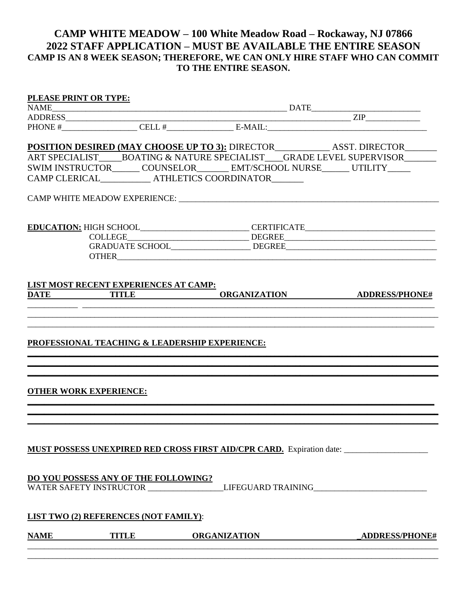## **CAMP WHITE MEADOW – 100 White Meadow Road – Rockaway, NJ 07866 2022 STAFF APPLICATION – MUST BE AVAILABLE THE ENTIRE SEASON CAMP IS AN 8 WEEK SEASON; THEREFORE, WE CAN ONLY HIRE STAFF WHO CAN COMMIT TO THE ENTIRE SEASON.**

| <b>NAME</b> | <b>OTHER WORK EXPERIENCE:</b><br><b>LIST TWO (2) REFERENCES (NOT FAMILY):</b>                                         | MUST POSSESS UNEXPIRED RED CROSS FIRST AID/CPR CARD. Expiration date:<br>DO YOU POSSESS ANY OF THE FOLLOWING?<br>WATER SAFETY INSTRUCTOR ____________________LIFEGUARD TRAINING__________________                                                                                                                                                                                                                                                                                   |                             |
|-------------|-----------------------------------------------------------------------------------------------------------------------|-------------------------------------------------------------------------------------------------------------------------------------------------------------------------------------------------------------------------------------------------------------------------------------------------------------------------------------------------------------------------------------------------------------------------------------------------------------------------------------|-----------------------------|
|             |                                                                                                                       |                                                                                                                                                                                                                                                                                                                                                                                                                                                                                     |                             |
|             |                                                                                                                       |                                                                                                                                                                                                                                                                                                                                                                                                                                                                                     |                             |
|             |                                                                                                                       |                                                                                                                                                                                                                                                                                                                                                                                                                                                                                     |                             |
|             |                                                                                                                       |                                                                                                                                                                                                                                                                                                                                                                                                                                                                                     |                             |
|             |                                                                                                                       |                                                                                                                                                                                                                                                                                                                                                                                                                                                                                     |                             |
|             |                                                                                                                       |                                                                                                                                                                                                                                                                                                                                                                                                                                                                                     |                             |
|             |                                                                                                                       |                                                                                                                                                                                                                                                                                                                                                                                                                                                                                     |                             |
|             |                                                                                                                       |                                                                                                                                                                                                                                                                                                                                                                                                                                                                                     |                             |
|             |                                                                                                                       |                                                                                                                                                                                                                                                                                                                                                                                                                                                                                     |                             |
|             |                                                                                                                       |                                                                                                                                                                                                                                                                                                                                                                                                                                                                                     |                             |
|             |                                                                                                                       | <b>PROFESSIONAL TEACHING &amp; LEADERSHIP EXPERIENCE:</b>                                                                                                                                                                                                                                                                                                                                                                                                                           |                             |
|             | <u> 1989 - Johann Barbara, martxa alemaniar argumentuar argumentuar argumentuar argumentuar argumentuar argumentu</u> |                                                                                                                                                                                                                                                                                                                                                                                                                                                                                     |                             |
|             | DATE TITLE                                                                                                            |                                                                                                                                                                                                                                                                                                                                                                                                                                                                                     | ORGANIZATION ADDRESS/PHONE# |
|             | LIST MOST RECENT EXPERIENCES AT CAMP:                                                                                 |                                                                                                                                                                                                                                                                                                                                                                                                                                                                                     |                             |
|             |                                                                                                                       |                                                                                                                                                                                                                                                                                                                                                                                                                                                                                     |                             |
|             |                                                                                                                       |                                                                                                                                                                                                                                                                                                                                                                                                                                                                                     |                             |
|             |                                                                                                                       | $COLLEGE \begin{tabular}{@{}c@{}} \hline \multicolumn{3}{c}{{\textbf{COLLEGE}}}\end{tabular} \begin{tabular}{@{}c@{}} \hline \multicolumn{3}{c}{{\textbf{COLLEGE}}}\end{tabular} \begin{tabular}{@{}c@{}} \hline \multicolumn{3}{c}{{\textbf{COLLEGE}}}\end{tabular} \begin{tabular}{@{}c@{}} \hline \multicolumn{3}{c}{{\textbf{COLLEGE}}}\end{tabular} \begin{tabular}{@{}c@{}} \hline \multicolumn{3}{c}{{\textbf{COLLEGE}}}\end{tabular} \begin{tabular}{@{}c@{}} \hline \mult$ |                             |
|             |                                                                                                                       |                                                                                                                                                                                                                                                                                                                                                                                                                                                                                     |                             |
|             |                                                                                                                       |                                                                                                                                                                                                                                                                                                                                                                                                                                                                                     |                             |
|             |                                                                                                                       | CAMP CLERICAL ATHLETICS COORDINATOR                                                                                                                                                                                                                                                                                                                                                                                                                                                 |                             |
|             |                                                                                                                       | SWIM INSTRUCTOR______ COUNSELOR_______ EMT/SCHOOL NURSE______ UTILITY_____                                                                                                                                                                                                                                                                                                                                                                                                          |                             |
|             |                                                                                                                       | POSITION DESIRED (MAY CHOOSE UP TO 3): DIRECTOR_____________ ASST. DIRECTOR______<br>ART SPECIALIST_____BOATING & NATURE SPECIALIST____GRADE LEVEL SUPERVISOR_______                                                                                                                                                                                                                                                                                                                |                             |
|             |                                                                                                                       |                                                                                                                                                                                                                                                                                                                                                                                                                                                                                     |                             |
|             |                                                                                                                       |                                                                                                                                                                                                                                                                                                                                                                                                                                                                                     |                             |
|             |                                                                                                                       |                                                                                                                                                                                                                                                                                                                                                                                                                                                                                     |                             |
|             |                                                                                                                       |                                                                                                                                                                                                                                                                                                                                                                                                                                                                                     |                             |